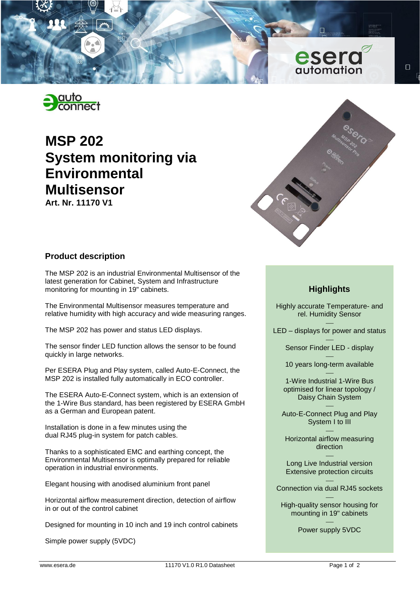



# **MSP 202 System monitoring via Environmental Multisensor**

**Art. Nr. 11170 V1**



 $\Box$ 

## **Product description**

The MSP 202 is an industrial Environmental Multisensor of the latest generation for Cabinet, System and Infrastructure monitoring for mounting in 19" cabinets.

The Environmental Multisensor measures temperature and relative humidity with high accuracy and wide measuring ranges.

The MSP 202 has power and status LED displays.

The sensor finder LED function allows the sensor to be found quickly in large networks.

Per ESERA Plug and Play system, called Auto-E-Connect, the MSP 202 is installed fully automatically in ECO controller.

The ESERA Auto-E-Connect system, which is an extension of the 1-Wire Bus standard, has been registered by ESERA GmbH as a German and European patent.

Installation is done in a few minutes using the dual RJ45 plug-in system for patch cables.

Thanks to a sophisticated EMC and earthing concept, the Environmental Multisensor is optimally prepared for reliable operation in industrial environments.

Elegant housing with anodised aluminium front panel

Horizontal airflow measurement direction, detection of airflow in or out of the control cabinet

Designed for mounting in 10 inch and 19 inch control cabinets

Simple power supply (5VDC)

# **Highlights**

Highly accurate Temperature- and rel. Humidity Sensor

 $\overline{\phantom{0}}$ LED – displays for power and status

> $\overline{\phantom{0}}$ Sensor Finder LED - display

> $\overline{\phantom{0}}$ 10 years long-term available

 $\overline{\phantom{0}}$ 1-Wire Industrial 1-Wire Bus optimised for linear topology / Daisy Chain System

 $\equiv$ Auto-E-Connect Plug and Play System I to III

 $\overline{\phantom{0}}$ Horizontal airflow measuring direction

 $\overline{\phantom{0}}$ Long Live Industrial version Extensive protection circuits

 $\equiv$ Connection via dual RJ45 sockets

 $\equiv$ High-quality sensor housing for mounting in 19" cabinets

> $\equiv$ Power supply 5VDC